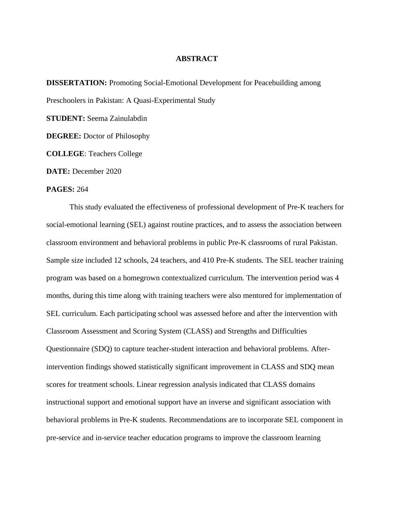## **ABSTRACT**

**DISSERTATION:** Promoting Social-Emotional Development for Peacebuilding among Preschoolers in Pakistan: A Quasi-Experimental Study

**STUDENT:** Seema Zainulabdin

**DEGREE:** Doctor of Philosophy

**COLLEGE**: Teachers College

**DATE:** December 2020

## **PAGES:** 264

This study evaluated the effectiveness of professional development of Pre-K teachers for social-emotional learning (SEL) against routine practices, and to assess the association between classroom environment and behavioral problems in public Pre-K classrooms of rural Pakistan. Sample size included 12 schools, 24 teachers, and 410 Pre-K students. The SEL teacher training program was based on a homegrown contextualized curriculum. The intervention period was 4 months, during this time along with training teachers were also mentored for implementation of SEL curriculum. Each participating school was assessed before and after the intervention with Classroom Assessment and Scoring System (CLASS) and Strengths and Difficulties Questionnaire (SDQ) to capture teacher-student interaction and behavioral problems. Afterintervention findings showed statistically significant improvement in CLASS and SDQ mean scores for treatment schools. Linear regression analysis indicated that CLASS domains instructional support and emotional support have an inverse and significant association with behavioral problems in Pre-K students. Recommendations are to incorporate SEL component in pre-service and in-service teacher education programs to improve the classroom learning